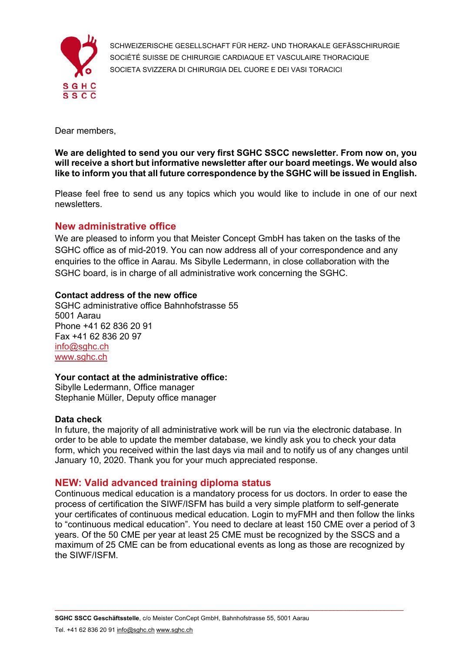

SCHWEIZERISCHE GESELLSCHAFT FÜR HERZ- UND THORAKALE GEFÄSSCHIRURGIE SOCIÉTÉ SUISSE DE CHIRURGIE CARDIAQUE ET VASCULAIRE THORACIQUE SOCIETA SVIZZERA DI CHIRURGIA DEL CUORE E DEI VASI TORACICI

Dear members,

**We are delighted to send you our very first SGHC SSCC newsletter. From now on, you will receive a short but informative newsletter after our board meetings. We would also like to inform you that all future correspondence by the SGHC will be issued in English.** 

Please feel free to send us any topics which you would like to include in one of our next newsletters.

# **New administrative office**

We are pleased to inform you that Meister Concept GmbH has taken on the tasks of the SGHC office as of mid-2019. You can now address all of your correspondence and any enquiries to the office in Aarau. Ms Sibylle Ledermann, in close collaboration with the SGHC board, is in charge of all administrative work concerning the SGHC.

## **Contact address of the new office**

SGHC administrative office Bahnhofstrasse 55 5001 Aarau Phone +41 62 836 20 91 Fax +41 62 836 20 97 [info@sghc.ch](mailto:info@sghc.ch) [www.sghc.ch](http://www.sghc.ch)

## **Your contact at the administrative office:**

Sibylle Ledermann, Office manager Stephanie Müller, Deputy office manager

## **Data check**

In future, the majority of all administrative work will be run via the electronic database. In order to be able to update the member database, we kindly ask you to check your data form, which you received within the last days via mail and to notify us of any changes until January 10, 2020. Thank you for your much appreciated response.

# **NEW: Valid advanced training diploma status**

Continuous medical education is a mandatory process for us doctors. In order to ease the process of certification the SIWF/ISFM has build a very simple platform to self-generate your certificates of continuous medical education. Login to myFMH and then follow the links to "continuous medical education". You need to declare at least 150 CME over a period of 3 years. Of the 50 CME per year at least 25 CME must be recognized by the SSCS and a maximum of 25 CME can be from educational events as long as those are recognized by the SIWF/ISFM.

 $\_$  , and the state of the state of the state of the state of the state of the state of the state of the state of the state of the state of the state of the state of the state of the state of the state of the state of the